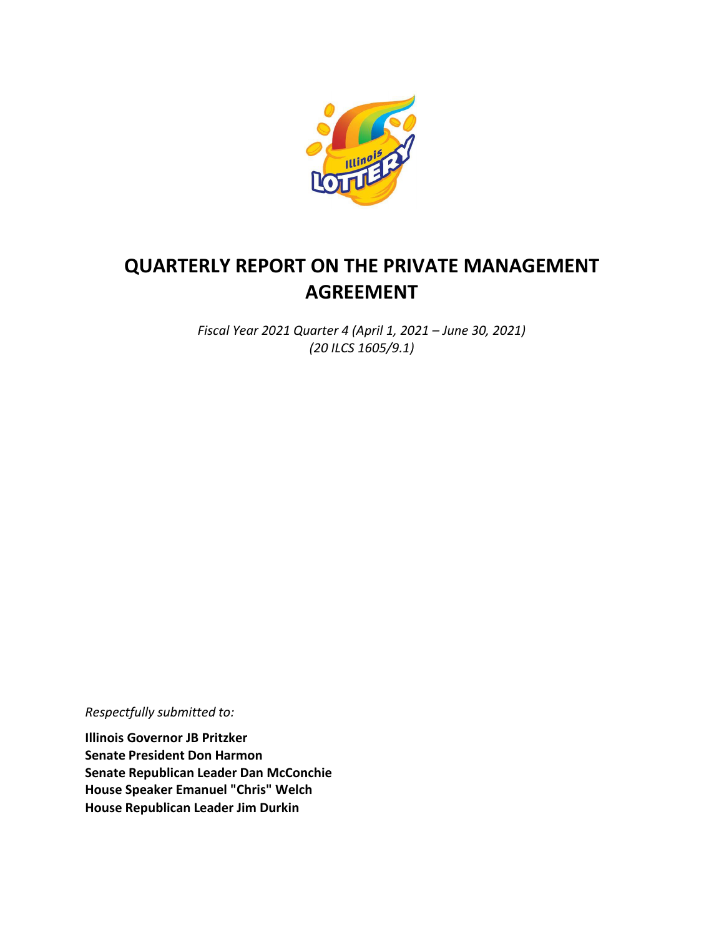

# **QUARTERLY REPORT ON THE PRIVATE MANAGEMENT AGREEMENT**

*Fiscal Year 2021 Quarter 4 (April 1, 2021 – June 30, 2021) (20 ILCS 1605/9.1)*

*Respectfully submitted to:*

**Illinois Governor JB Pritzker Senate President Don Harmon Senate Republican Leader Dan McConchie House Speaker Emanuel "Chris" Welch House Republican Leader Jim Durkin**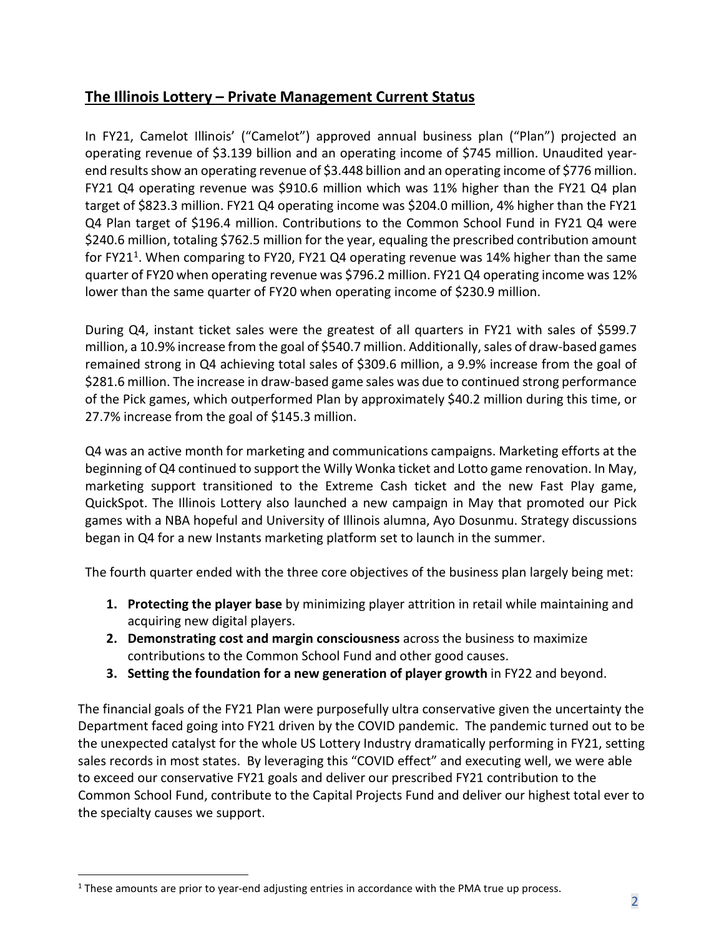#### **The Illinois Lottery – Private Management Current Status**

In FY21, Camelot Illinois' ("Camelot") approved annual business plan ("Plan") projected an operating revenue of \$3.139 billion and an operating income of \$745 million. Unaudited yearend results show an operating revenue of \$3.448 billion and an operating income of \$776 million. FY21 Q4 operating revenue was \$910.6 million which was 11% higher than the FY21 Q4 plan target of \$823.3 million. FY21 Q4 operating income was \$204.0 million, 4% higher than the FY21 Q4 Plan target of \$196.4 million. Contributions to the Common School Fund in FY21 Q4 were \$240.6 million, totaling \$762.5 million for the year, equaling the prescribed contribution amount for FY2[1](#page-1-0)<sup>1</sup>. When comparing to FY20, FY21 Q4 operating revenue was 14% higher than the same quarter of FY20 when operating revenue was \$796.2 million. FY21 Q4 operating income was 12% lower than the same quarter of FY20 when operating income of \$230.9 million.

During Q4, instant ticket sales were the greatest of all quarters in FY21 with sales of \$599.7 million, a 10.9% increase from the goal of \$540.7 million. Additionally, sales of draw-based games remained strong in Q4 achieving total sales of \$309.6 million, a 9.9% increase from the goal of \$281.6 million. The increase in draw-based game sales was due to continued strong performance of the Pick games, which outperformed Plan by approximately \$40.2 million during this time, or 27.7% increase from the goal of \$145.3 million.

Q4 was an active month for marketing and communications campaigns. Marketing efforts at the beginning of Q4 continued to support the Willy Wonka ticket and Lotto game renovation. In May, marketing support transitioned to the Extreme Cash ticket and the new Fast Play game, QuickSpot. The Illinois Lottery also launched a new campaign in May that promoted our Pick games with a NBA hopeful and University of Illinois alumna, Ayo Dosunmu. Strategy discussions began in Q4 for a new Instants marketing platform set to launch in the summer.

The fourth quarter ended with the three core objectives of the business plan largely being met:

- **1. Protecting the player base** by minimizing player attrition in retail while maintaining and acquiring new digital players.
- **2. Demonstrating cost and margin consciousness** across the business to maximize contributions to the Common School Fund and other good causes.
- **3. Setting the foundation for a new generation of player growth** in FY22 and beyond.

The financial goals of the FY21 Plan were purposefully ultra conservative given the uncertainty the Department faced going into FY21 driven by the COVID pandemic. The pandemic turned out to be the unexpected catalyst for the whole US Lottery Industry dramatically performing in FY21, setting sales records in most states. By leveraging this "COVID effect" and executing well, we were able to exceed our conservative FY21 goals and deliver our prescribed FY21 contribution to the Common School Fund, contribute to the Capital Projects Fund and deliver our highest total ever to the specialty causes we support.

<span id="page-1-0"></span> $<sup>1</sup>$  These amounts are prior to year-end adjusting entries in accordance with the PMA true up process.</sup>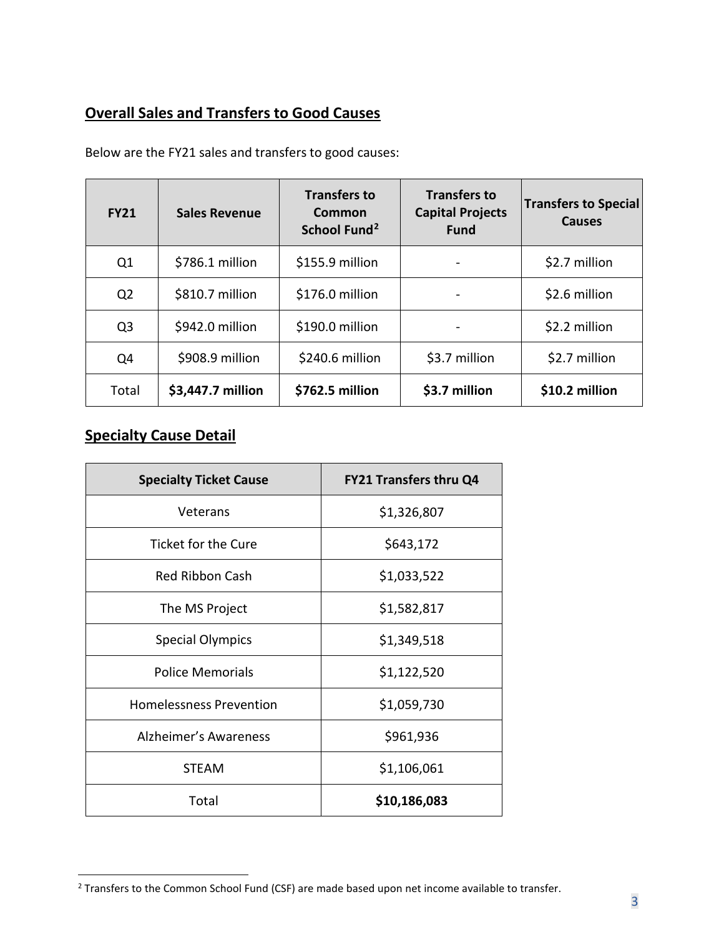## **Overall Sales and Transfers to Good Causes**

| <b>FY21</b>    | <b>Sales Revenue</b> | <b>Transfers to</b><br>Common<br>School Fund <sup>2</sup> | <b>Transfers to</b><br><b>Capital Projects</b><br><b>Fund</b> | <b>Transfers to Special</b><br><b>Causes</b> |
|----------------|----------------------|-----------------------------------------------------------|---------------------------------------------------------------|----------------------------------------------|
| Q1             | \$786.1 million      | \$155.9 million                                           |                                                               | \$2.7 million                                |
| Q <sub>2</sub> | \$810.7 million      | \$176.0 million                                           |                                                               | \$2.6 million                                |
| Q <sub>3</sub> | \$942.0 million      | \$190.0 million                                           |                                                               | \$2.2 million                                |
| Q4             | \$908.9 million      | \$240.6 million                                           | \$3.7 million                                                 | \$2.7 million                                |
| Total          | \$3,447.7 million    | \$762.5 million                                           | \$3.7 million                                                 | \$10.2 million                               |

Below are the FY21 sales and transfers to good causes:

#### **Specialty Cause Detail**

| <b>Specialty Ticket Cause</b>  | <b>FY21 Transfers thru Q4</b> |  |
|--------------------------------|-------------------------------|--|
| Veterans                       | \$1,326,807                   |  |
| <b>Ticket for the Cure</b>     | \$643,172                     |  |
| Red Ribbon Cash                | \$1,033,522                   |  |
| The MS Project                 | \$1,582,817                   |  |
| <b>Special Olympics</b>        | \$1,349,518                   |  |
| <b>Police Memorials</b>        | \$1,122,520                   |  |
| <b>Homelessness Prevention</b> | \$1,059,730                   |  |
| Alzheimer's Awareness          | \$961,936                     |  |
| <b>STEAM</b>                   | \$1,106,061                   |  |
| Total                          | \$10,186,083                  |  |

<span id="page-2-0"></span><sup>&</sup>lt;sup>2</sup> Transfers to the Common School Fund (CSF) are made based upon net income available to transfer.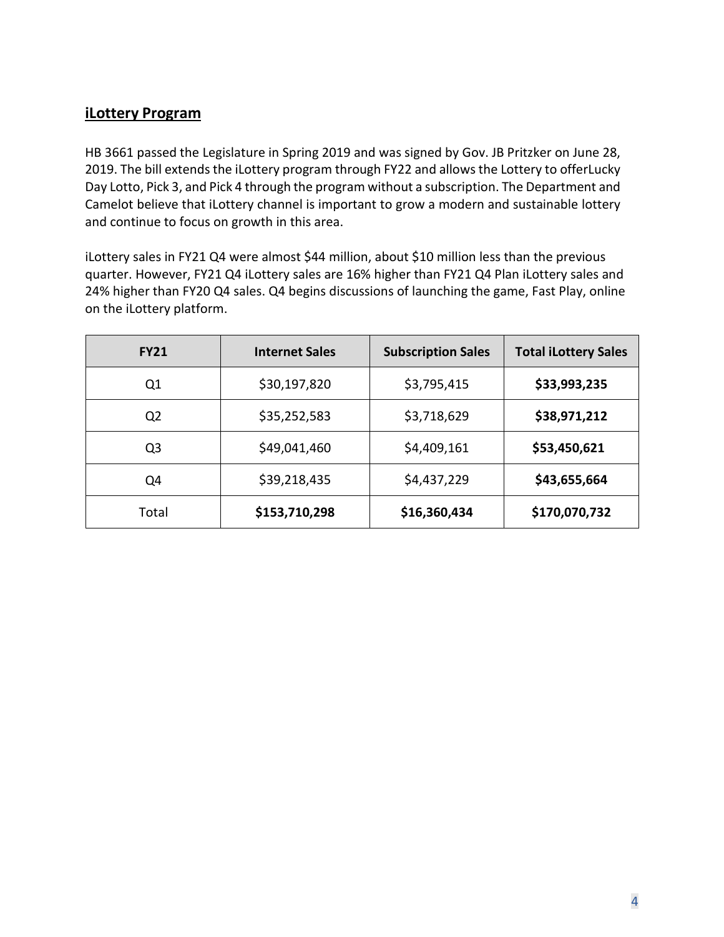#### **iLottery Program**

HB 3661 passed the Legislature in Spring 2019 and was signed by Gov. JB Pritzker on June 28, 2019. The bill extends the iLottery program through FY22 and allows the Lottery to offerLucky Day Lotto, Pick 3, and Pick 4 through the program without a subscription. The Department and Camelot believe that iLottery channel is important to grow a modern and sustainable lottery and continue to focus on growth in this area.

iLottery sales in FY21 Q4 were almost \$44 million, about \$10 million less than the previous quarter. However, FY21 Q4 iLottery sales are 16% higher than FY21 Q4 Plan iLottery sales and 24% higher than FY20 Q4 sales. Q4 begins discussions of launching the game, Fast Play, online on the iLottery platform.

| <b>FY21</b>    | <b>Internet Sales</b> | <b>Subscription Sales</b> | <b>Total iLottery Sales</b> |
|----------------|-----------------------|---------------------------|-----------------------------|
| Q1             | \$30,197,820          | \$3,795,415               | \$33,993,235                |
| Q <sub>2</sub> | \$35,252,583          | \$3,718,629               | \$38,971,212                |
| Q <sub>3</sub> | \$49,041,460          | \$4,409,161               | \$53,450,621                |
| Q4             | \$39,218,435          | \$4,437,229               | \$43,655,664                |
| Total          | \$153,710,298         | \$16,360,434              | \$170,070,732               |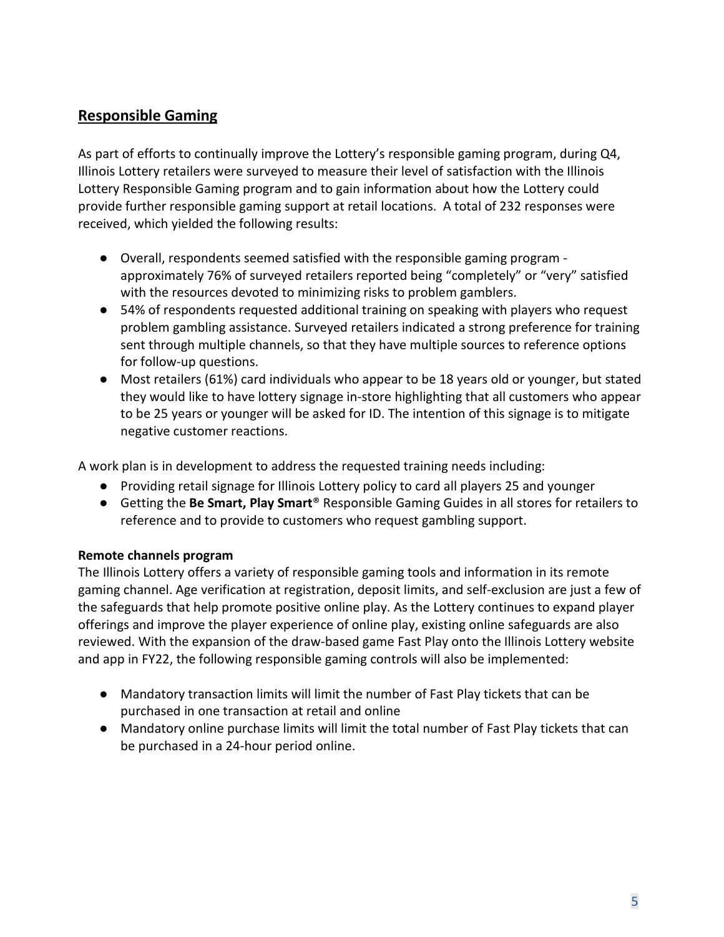#### **Responsible Gaming**

As part of efforts to continually improve the Lottery's responsible gaming program, during Q4, Illinois Lottery retailers were surveyed to measure their level of satisfaction with the Illinois Lottery Responsible Gaming program and to gain information about how the Lottery could provide further responsible gaming support at retail locations. A total of 232 responses were received, which yielded the following results:

- Overall, respondents seemed satisfied with the responsible gaming program approximately 76% of surveyed retailers reported being "completely" or "very" satisfied with the resources devoted to minimizing risks to problem gamblers.
- 54% of respondents requested additional training on speaking with players who request problem gambling assistance. Surveyed retailers indicated a strong preference for training sent through multiple channels, so that they have multiple sources to reference options for follow-up questions.
- Most retailers (61%) card individuals who appear to be 18 years old or younger, but stated they would like to have lottery signage in-store highlighting that all customers who appear to be 25 years or younger will be asked for ID. The intention of this signage is to mitigate negative customer reactions.

A work plan is in development to address the requested training needs including:

- Providing retail signage for Illinois Lottery policy to card all players 25 and younger
- Getting the **Be Smart, Play Smart**® Responsible Gaming Guides in all stores for retailers to reference and to provide to customers who request gambling support.

#### **Remote channels program**

The Illinois Lottery offers a variety of responsible gaming tools and information in its remote gaming channel. Age verification at registration, deposit limits, and self-exclusion are just a few of the safeguards that help promote positive online play. As the Lottery continues to expand player offerings and improve the player experience of online play, existing online safeguards are also reviewed. With the expansion of the draw-based game Fast Play onto the Illinois Lottery website and app in FY22, the following responsible gaming controls will also be implemented:

- Mandatory transaction limits will limit the number of Fast Play tickets that can be purchased in one transaction at retail and online
- Mandatory online purchase limits will limit the total number of Fast Play tickets that can be purchased in a 24-hour period online.